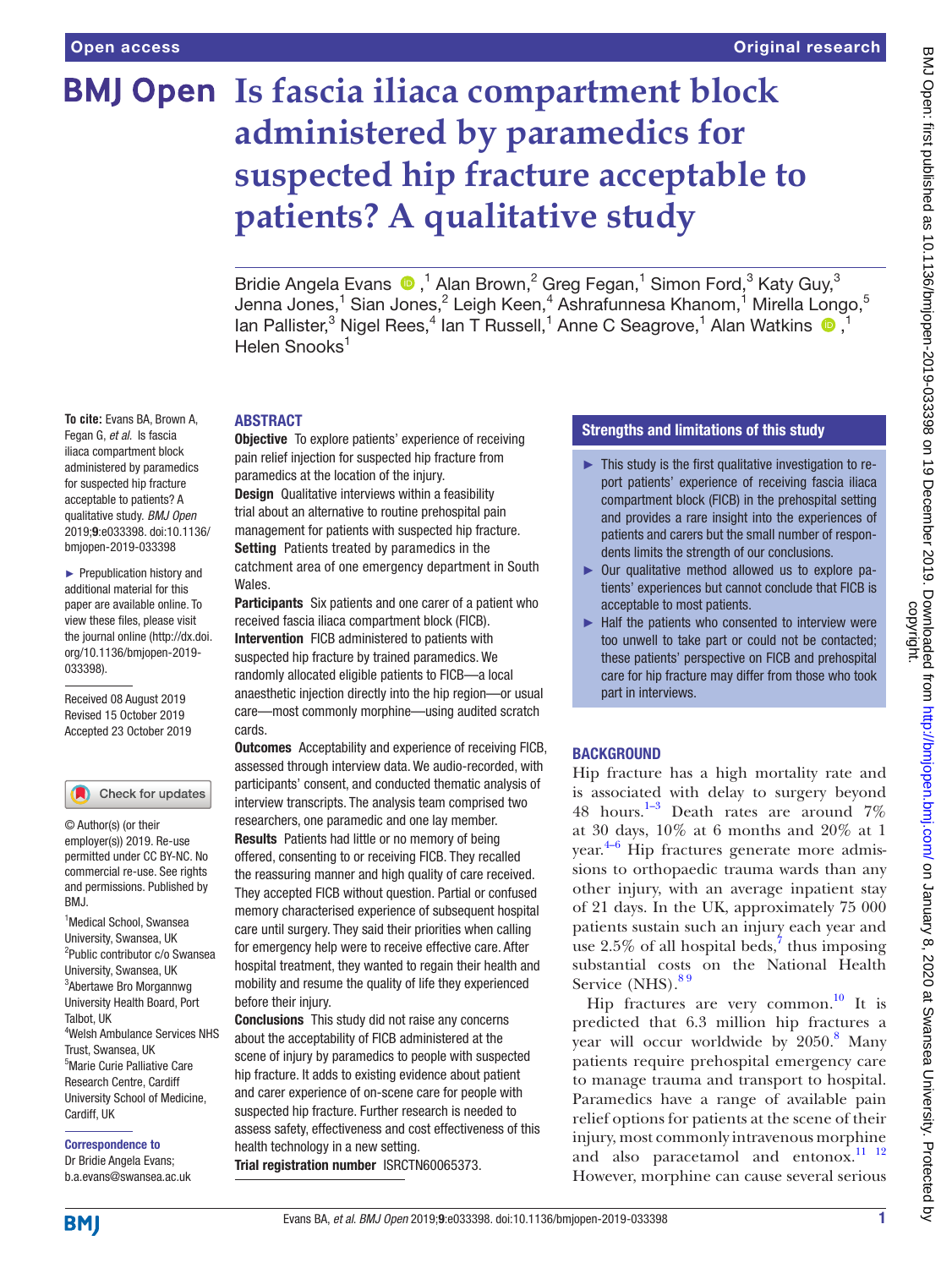# **BMJ Open** Is fascia iliaca compartment block **administered by paramedics for suspected hip fracture acceptable to patients? A qualitative study**

BridieAngela Evans  $\bigcirc$ ,<sup>1</sup> Alan Brown,<sup>2</sup> Greg Fegan,<sup>1</sup> Simon Ford,<sup>3</sup> Katy Guy,<sup>3</sup> Jenna Jones, $^1$  Sian Jones, $^2$  Leigh Keen, $^4$  Ashrafunnesa Khanom, $^1$  Mirella Longo, $^5$ lanPallister,<sup>3</sup> Nigel Rees,<sup>4</sup> Ian T Russell,<sup>1</sup> Anne C Seagrove,<sup>1</sup> Alan Watkins <sup>1</sup> Helen Snooks<sup>1</sup>

## **ABSTRACT**

**Objective** To explore patients' experience of receiving pain relief injection for suspected hip fracture from paramedics at the location of the injury. Design Qualitative interviews within a feasibility trial about an alternative to routine prehospital pain management for patients with suspected hip fracture. Setting Patients treated by paramedics in the catchment area of one emergency department in South Wales.

Participants Six patients and one carer of a patient who received fascia iliaca compartment block (FICB). Intervention FICB administered to patients with suspected hip fracture by trained paramedics. We randomly allocated eligible patients to FICB—a local anaesthetic injection directly into the hip region—or usual care—most commonly morphine—using audited scratch cards.

**Outcomes** Acceptability and experience of receiving FICB, assessed through interview data. We audio-recorded, with participants' consent, and conducted thematic analysis of interview transcripts. The analysis team comprised two researchers, one paramedic and one lay member. Results Patients had little or no memory of being offered, consenting to or receiving FICB. They recalled the reassuring manner and high quality of care received. They accepted FICB without question. Partial or confused memory characterised experience of subsequent hospital care until surgery. They said their priorities when calling for emergency help were to receive effective care. After hospital treatment, they wanted to regain their health and mobility and resume the quality of life they experienced before their injury.

Conclusions This study did not raise any concerns about the acceptability of FICB administered at the scene of injury by paramedics to people with suspected hip fracture. It adds to existing evidence about patient and carer experience of on-scene care for people with suspected hip fracture. Further research is needed to assess safety, effectiveness and cost effectiveness of this health technology in a new setting. Trial registration number <ISRCTN60065373>.

## Strengths and limitations of this study

- $\blacktriangleright$  This study is the first qualitative investigation to report patients' experience of receiving fascia iliaca compartment block (FICB) in the prehospital setting and provides a rare insight into the experiences of patients and carers but the small number of respondents limits the strength of our conclusions.
- ► Our qualitative method allowed us to explore patients' experiences but cannot conclude that FICB is acceptable to most patients.
- $\blacktriangleright$  Half the patients who consented to interview were too unwell to take part or could not be contacted; these patients' perspective on FICB and prehospital care for hip fracture may differ from those who took part in interviews.

## **BACKGROUND**

Hip fracture has a high mortality rate and is associated with delay to surgery beyond 48 hours.<sup>1-3</sup> Death rates are around  $7\%$ at 30 days, 10% at 6 months and 20% at 1 year. [4–6](#page-4-1) Hip fractures generate more admissions to orthopaedic trauma wards than any other injury, with an average inpatient stay of 21 days. In the UK, approximately 75 000 patients sustain such an injury each year and use  $2.5\%$  of all hospital beds,<sup>7</sup> thus imposing substantial costs on the National Health Service (NHS).<sup>89</sup>

Hip fractures are very common.<sup>[10](#page-4-4)</sup> It is predicted that 6.3 million hip fractures a year will occur worldwide by 2050.<sup>[8](#page-4-3)</sup> Many patients require prehospital emergency care to manage trauma and transport to hospital. Paramedics have a range of available pain relief options for patients at the scene of their injury, most commonly intravenous morphine and also paracetamol and entonox.<sup>11</sup> <sup>12</sup> However, morphine can cause several serious

**To cite:** Evans BA, Brown A, Fegan G, *et al*. Is fascia iliaca compartment block administered by paramedics for suspected hip fracture acceptable to patients? A qualitative study. *BMJ Open* 2019;9:e033398. doi:10.1136/ bmjopen-2019-033398

► Prepublication history and additional material for this paper are available online. To view these files, please visit the journal online (http://dx.doi. org/10.1136/bmjopen-2019- 033398).

Received 08 August 2019 Revised 15 October 2019 Accepted 23 October 2019



© Author(s) (or their employer(s)) 2019. Re-use permitted under CC BY-NC. No commercial re-use. See rights and permissions. Published by RM<sub>J</sub>

<sup>1</sup>Medical School, Swansea University, Swansea, UK 2 Public contributor c/o Swansea University, Swansea, UK 3 Abertawe Bro Morgannwg University Health Board, Port Talbot, UK 4 Welsh Ambulance Services NHS Trust, Swansea, UK 5 Marie Curie Palliative Care Research Centre, Cardiff University School of Medicine, Cardiff, UK

Correspondence to Dr Bridie Angela Evans; b.a.evans@swansea.ac.uk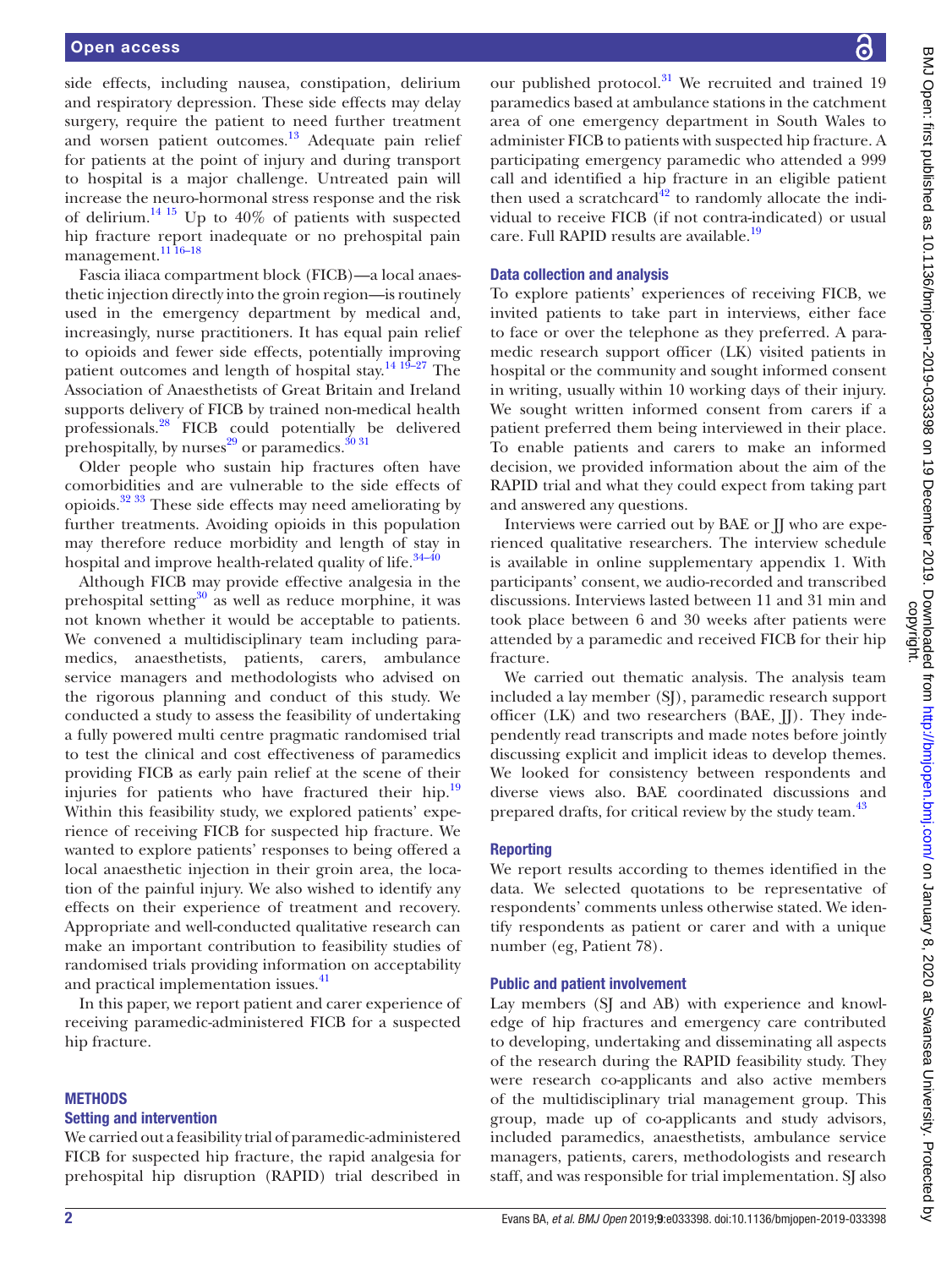side effects, including nausea, constipation, delirium and respiratory depression. These side effects may delay surgery, require the patient to need further treatment and worsen patient outcomes.<sup>[13](#page-4-6)</sup> Adequate pain relief for patients at the point of injury and during transport to hospital is a major challenge. Untreated pain will increase the neuro-hormonal stress response and the risk of delirium.<sup>14 15</sup> Up to 40% of patients with suspected hip fracture report inadequate or no prehospital pain management.<sup>11</sup>16-18</sup>

Fascia iliaca compartment block (FICB)—a local anaesthetic injection directly into the groin region—is routinely used in the emergency department by medical and, increasingly, nurse practitioners. It has equal pain relief to opioids and fewer side effects, potentially improving patient outcomes and length of hospital stay.[14 19–27](#page-4-7) The Association of Anaesthetists of Great Britain and Ireland supports delivery of FICB by trained non-medical health professionals[.28](#page-5-0) FICB could potentially be delivered prehospitally, by nurses<sup>29</sup> or paramedics.<sup>[30 31](#page-5-2)</sup>

Older people who sustain hip fractures often have comorbidities and are vulnerable to the side effects of opioids[.32 33](#page-5-3) These side effects may need ameliorating by further treatments. Avoiding opioids in this population may therefore reduce morbidity and length of stay in hospital and improve health-related quality of life. $34-40$ 

Although FICB may provide effective analgesia in the prehospital setting $30$  as well as reduce morphine, it was not known whether it would be acceptable to patients. We convened a multidisciplinary team including paramedics, anaesthetists, patients, carers, ambulance service managers and methodologists who advised on the rigorous planning and conduct of this study. We conducted a study to assess the feasibility of undertaking a fully powered multi centre pragmatic randomised trial to test the clinical and cost effectiveness of paramedics providing FICB as early pain relief at the scene of their injuries for patients who have fractured their hip.<sup>[19](#page-5-5)</sup> Within this feasibility study, we explored patients' experience of receiving FICB for suspected hip fracture. We wanted to explore patients' responses to being offered a local anaesthetic injection in their groin area, the location of the painful injury. We also wished to identify any effects on their experience of treatment and recovery. Appropriate and well-conducted qualitative research can make an important contribution to feasibility studies of randomised trials providing information on acceptability and practical implementation issues.<sup>41</sup>

In this paper, we report patient and carer experience of receiving paramedic-administered FICB for a suspected hip fracture.

#### **METHODS**

#### Setting and intervention

We carried out a feasibility trial of paramedic-administered FICB for suspected hip fracture, the rapid analgesia for prehospital hip disruption (RAPID) trial described in

our published protocol.<sup>31</sup> We recruited and trained 19 paramedics based at ambulance stations in the catchment area of one emergency department in South Wales to administer FICB to patients with suspected hip fracture. A participating emergency paramedic who attended a 999 call and identified a hip fracture in an eligible patient then used a scratchcard $42$  to randomly allocate the individual to receive FICB (if not contra-indicated) or usual care. Full RAPID results are available.<sup>[19](#page-5-5)</sup>

### Data collection and analysis

To explore patients' experiences of receiving FICB, we invited patients to take part in interviews, either face to face or over the telephone as they preferred. A paramedic research support officer (LK) visited patients in hospital or the community and sought informed consent in writing, usually within 10 working days of their injury. We sought written informed consent from carers if a patient preferred them being interviewed in their place. To enable patients and carers to make an informed decision, we provided information about the aim of the RAPID trial and what they could expect from taking part and answered any questions.

Interviews were carried out by BAE or II who are experienced qualitative researchers. The interview schedule is available in [online supplementary appendix 1.](https://dx.doi.org/10.1136/bmjopen-2019-033398) With participants' consent, we audio-recorded and transcribed discussions. Interviews lasted between 11 and 31 min and took place between 6 and 30 weeks after patients were attended by a paramedic and received FICB for their hip fracture.

We carried out thematic analysis. The analysis team included a lay member (SJ), paramedic research support officer  $(LK)$  and two researchers  $(BAE, \Pi)$ . They independently read transcripts and made notes before jointly discussing explicit and implicit ideas to develop themes. We looked for consistency between respondents and diverse views also. BAE coordinated discussions and prepared drafts, for critical review by the study team.<sup>[43](#page-5-9)</sup>

## Reporting

We report results according to themes identified in the data. We selected quotations to be representative of respondents' comments unless otherwise stated. We identify respondents as patient or carer and with a unique number (eg, Patient 78).

#### Public and patient involvement

Lay members (SJ and AB) with experience and knowledge of hip fractures and emergency care contributed to developing, undertaking and disseminating all aspects of the research during the RAPID feasibility study. They were research co-applicants and also active members of the multidisciplinary trial management group. This group, made up of co-applicants and study advisors, included paramedics, anaesthetists, ambulance service managers, patients, carers, methodologists and research staff, and was responsible for trial implementation. SJ also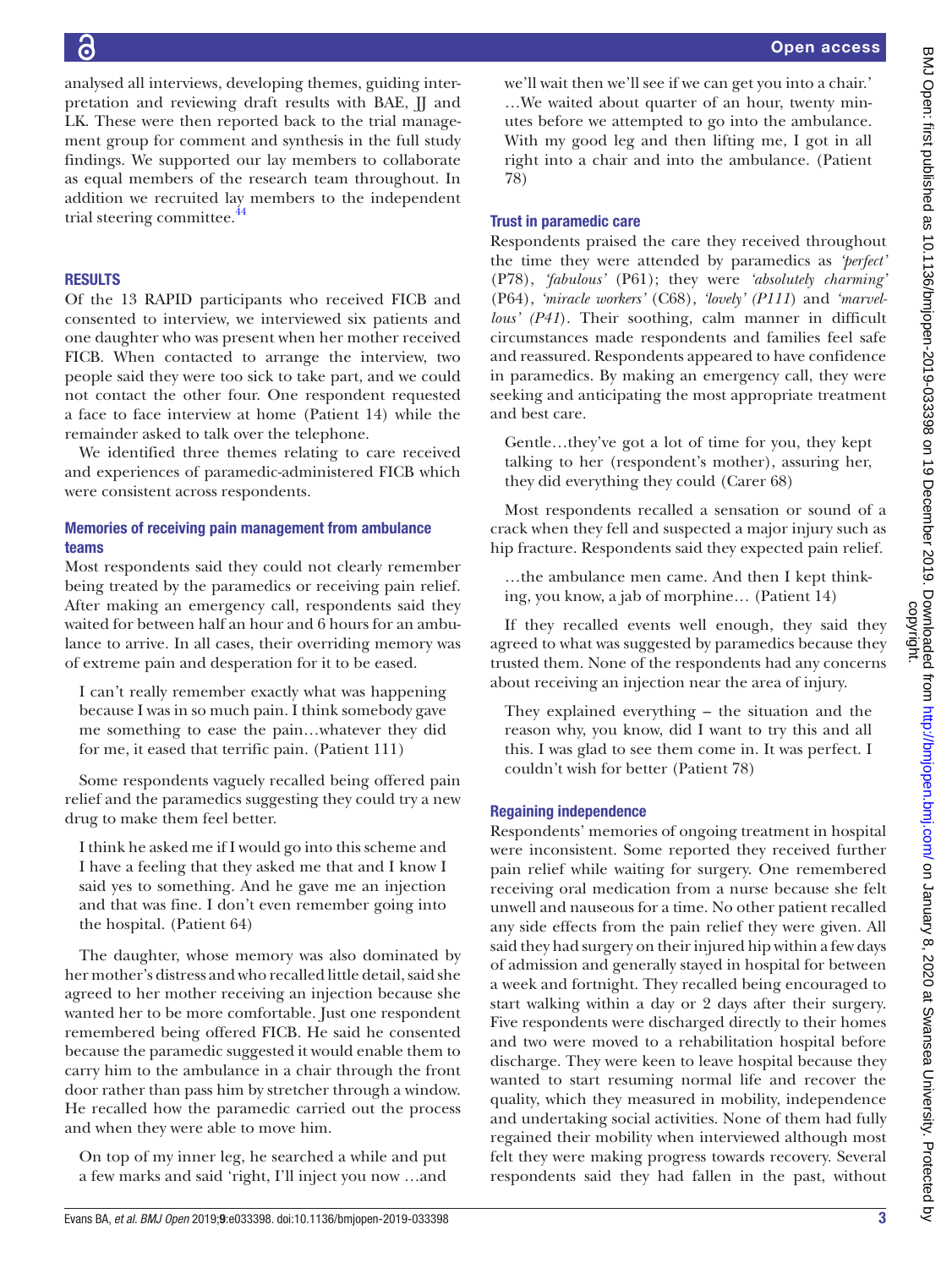analysed all interviews, developing themes, guiding interpretation and reviewing draft results with BAE, JJ and LK. These were then reported back to the trial management group for comment and synthesis in the full study findings. We supported our lay members to collaborate as equal members of the research team throughout. In addition we recruited lay members to the independent trial steering committee.<sup>44</sup>

## **RESULTS**

Of the 13 RAPID participants who received FICB and consented to interview, we interviewed six patients and one daughter who was present when her mother received FICB. When contacted to arrange the interview, two people said they were too sick to take part, and we could not contact the other four. One respondent requested a face to face interview at home (Patient 14) while the remainder asked to talk over the telephone.

We identified three themes relating to care received and experiences of paramedic-administered FICB which were consistent across respondents.

## Memories of receiving pain management from ambulance teams

Most respondents said they could not clearly remember being treated by the paramedics or receiving pain relief. After making an emergency call, respondents said they waited for between half an hour and 6 hours for an ambulance to arrive. In all cases, their overriding memory was of extreme pain and desperation for it to be eased.

I can't really remember exactly what was happening because I was in so much pain. I think somebody gave me something to ease the pain…whatever they did for me, it eased that terrific pain. (Patient 111)

Some respondents vaguely recalled being offered pain relief and the paramedics suggesting they could try a new drug to make them feel better.

I think he asked me if I would go into this scheme and I have a feeling that they asked me that and I know I said yes to something. And he gave me an injection and that was fine. I don't even remember going into the hospital. (Patient 64)

The daughter, whose memory was also dominated by her mother's distress and who recalled little detail, said she agreed to her mother receiving an injection because she wanted her to be more comfortable. Just one respondent remembered being offered FICB. He said he consented because the paramedic suggested it would enable them to carry him to the ambulance in a chair through the front door rather than pass him by stretcher through a window. He recalled how the paramedic carried out the process and when they were able to move him.

On top of my inner leg, he searched a while and put a few marks and said 'right, I'll inject you now …and

we'll wait then we'll see if we can get you into a chair.' …We waited about quarter of an hour, twenty minutes before we attempted to go into the ambulance. With my good leg and then lifting me, I got in all right into a chair and into the ambulance. (Patient 78)

#### Trust in paramedic care

Respondents praised the care they received throughout the time they were attended by paramedics as *'perfect'* (P78), *'fabulous'* (P61); they were *'absolutely charming'* (P64), *'miracle workers'* (C68), *'lovely' (P111*) and *'marvellous' (P41*). Their soothing, calm manner in difficult circumstances made respondents and families feel safe and reassured. Respondents appeared to have confidence in paramedics. By making an emergency call, they were seeking and anticipating the most appropriate treatment and best care.

Gentle…they've got a lot of time for you, they kept talking to her (respondent's mother), assuring her, they did everything they could (Carer 68)

Most respondents recalled a sensation or sound of a crack when they fell and suspected a major injury such as hip fracture. Respondents said they expected pain relief.

…the ambulance men came. And then I kept thinking, you know, a jab of morphine… (Patient 14)

If they recalled events well enough, they said they agreed to what was suggested by paramedics because they trusted them. None of the respondents had any concerns about receiving an injection near the area of injury.

They explained everything – the situation and the reason why, you know, did I want to try this and all this. I was glad to see them come in. It was perfect. I couldn't wish for better (Patient 78)

#### Regaining independence

Respondents' memories of ongoing treatment in hospital were inconsistent. Some reported they received further pain relief while waiting for surgery. One remembered receiving oral medication from a nurse because she felt unwell and nauseous for a time. No other patient recalled any side effects from the pain relief they were given. All said they had surgery on their injured hip within a few days of admission and generally stayed in hospital for between a week and fortnight. They recalled being encouraged to start walking within a day or 2 days after their surgery. Five respondents were discharged directly to their homes and two were moved to a rehabilitation hospital before discharge. They were keen to leave hospital because they wanted to start resuming normal life and recover the quality, which they measured in mobility, independence and undertaking social activities. None of them had fully regained their mobility when interviewed although most felt they were making progress towards recovery. Several respondents said they had fallen in the past, without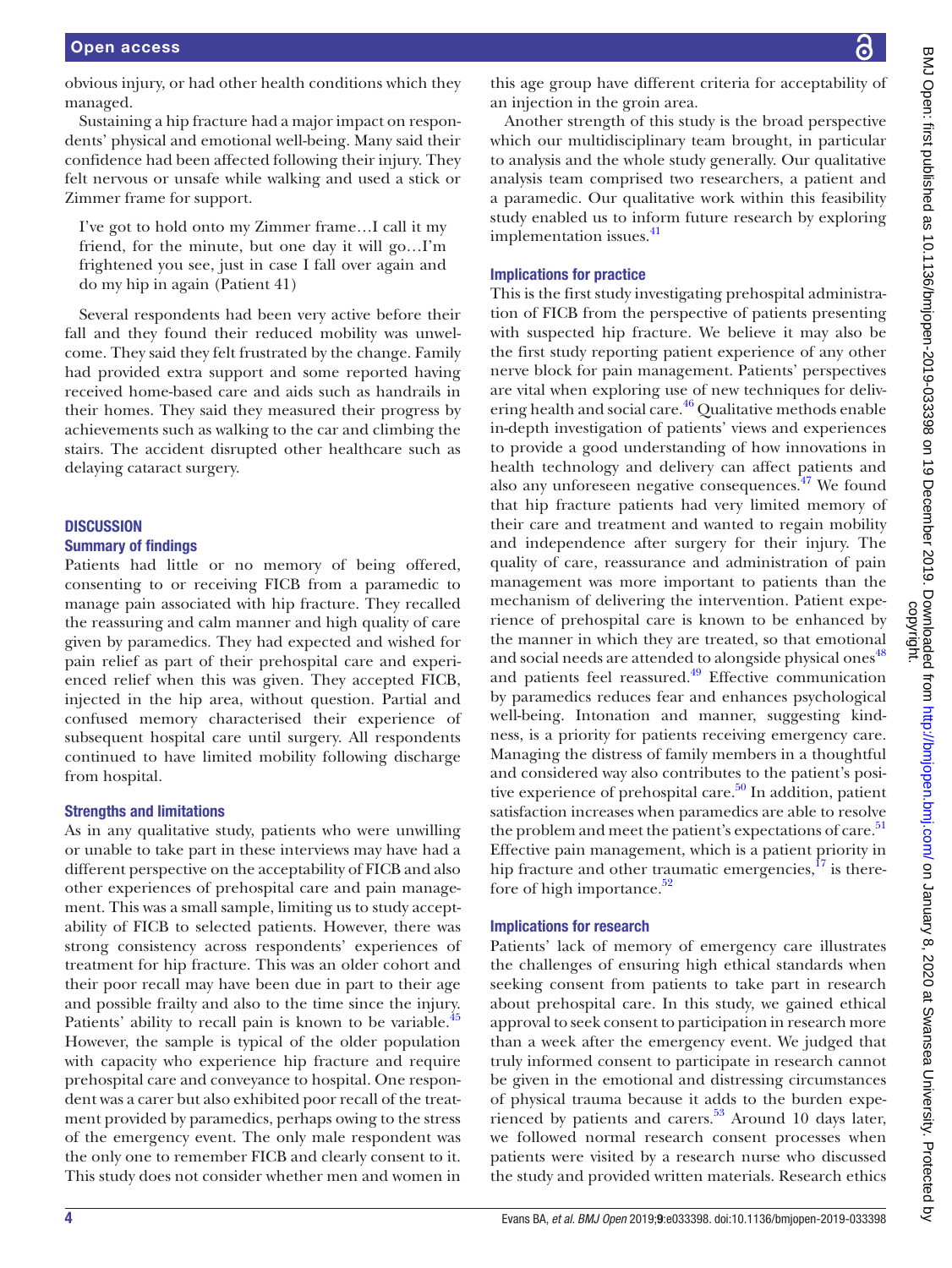obvious injury, or had other health conditions which they managed.

Sustaining a hip fracture had a major impact on respondents' physical and emotional well-being. Many said their confidence had been affected following their injury. They felt nervous or unsafe while walking and used a stick or Zimmer frame for support.

I've got to hold onto my Zimmer frame…I call it my friend, for the minute, but one day it will go…I'm frightened you see, just in case I fall over again and do my hip in again (Patient 41)

Several respondents had been very active before their fall and they found their reduced mobility was unwelcome. They said they felt frustrated by the change. Family had provided extra support and some reported having received home-based care and aids such as handrails in their homes. They said they measured their progress by achievements such as walking to the car and climbing the stairs. The accident disrupted other healthcare such as delaying cataract surgery.

## **DISCUSSION**

#### Summary of findings

Patients had little or no memory of being offered, consenting to or receiving FICB from a paramedic to manage pain associated with hip fracture. They recalled the reassuring and calm manner and high quality of care given by paramedics. They had expected and wished for pain relief as part of their prehospital care and experienced relief when this was given. They accepted FICB, injected in the hip area, without question. Partial and confused memory characterised their experience of subsequent hospital care until surgery. All respondents continued to have limited mobility following discharge from hospital.

#### Strengths and limitations

As in any qualitative study, patients who were unwilling or unable to take part in these interviews may have had a different perspective on the acceptability of FICB and also other experiences of prehospital care and pain management. This was a small sample, limiting us to study acceptability of FICB to selected patients. However, there was strong consistency across respondents' experiences of treatment for hip fracture. This was an older cohort and their poor recall may have been due in part to their age and possible frailty and also to the time since the injury. Patients' ability to recall pain is known to be variable.<sup>[45](#page-5-11)</sup> However, the sample is typical of the older population with capacity who experience hip fracture and require prehospital care and conveyance to hospital. One respondent was a carer but also exhibited poor recall of the treatment provided by paramedics, perhaps owing to the stress of the emergency event. The only male respondent was the only one to remember FICB and clearly consent to it. This study does not consider whether men and women in

this age group have different criteria for acceptability of an injection in the groin area.

Another strength of this study is the broad perspective which our multidisciplinary team brought, in particular to analysis and the whole study generally. Our qualitative analysis team comprised two researchers, a patient and a paramedic. Our qualitative work within this feasibility study enabled us to inform future research by exploring implementation issues.<sup>[41](#page-5-6)</sup>

#### Implications for practice

This is the first study investigating prehospital administration of FICB from the perspective of patients presenting with suspected hip fracture. We believe it may also be the first study reporting patient experience of any other nerve block for pain management. Patients' perspectives are vital when exploring use of new techniques for delivering health and social care.<sup>46</sup> Qualitative methods enable in-depth investigation of patients' views and experiences to provide a good understanding of how innovations in health technology and delivery can affect patients and also any unforeseen negative consequences. $47$  We found that hip fracture patients had very limited memory of their care and treatment and wanted to regain mobility and independence after surgery for their injury. The quality of care, reassurance and administration of pain management was more important to patients than the mechanism of delivering the intervention. Patient experience of prehospital care is known to be enhanced by the manner in which they are treated, so that emotional and social needs are attended to alongside physical ones<sup>[48](#page-5-14)</sup> and patients feel reassured.<sup>49</sup> Effective communication by paramedics reduces fear and enhances psychological well-being. Intonation and manner, suggesting kindness, is a priority for patients receiving emergency care. Managing the distress of family members in a thoughtful and considered way also contributes to the patient's positive experience of prehospital care.<sup>50</sup> In addition, patient satisfaction increases when paramedics are able to resolve the problem and meet the patient's expectations of care.<sup>[51](#page-5-17)</sup> Effective pain management, which is a patient priority in hip fracture and other traumatic emergencies, $^{17}$  $^{17}$  $^{17}$  is therefore of high importance. $52$ 

## Implications for research

Patients' lack of memory of emergency care illustrates the challenges of ensuring high ethical standards when seeking consent from patients to take part in research about prehospital care. In this study, we gained ethical approval to seek consent to participation in research more than a week after the emergency event. We judged that truly informed consent to participate in research cannot be given in the emotional and distressing circumstances of physical trauma because it adds to the burden expe-rienced by patients and carers.<sup>[53](#page-5-19)</sup> Around 10 days later, we followed normal research consent processes when patients were visited by a research nurse who discussed the study and provided written materials. Research ethics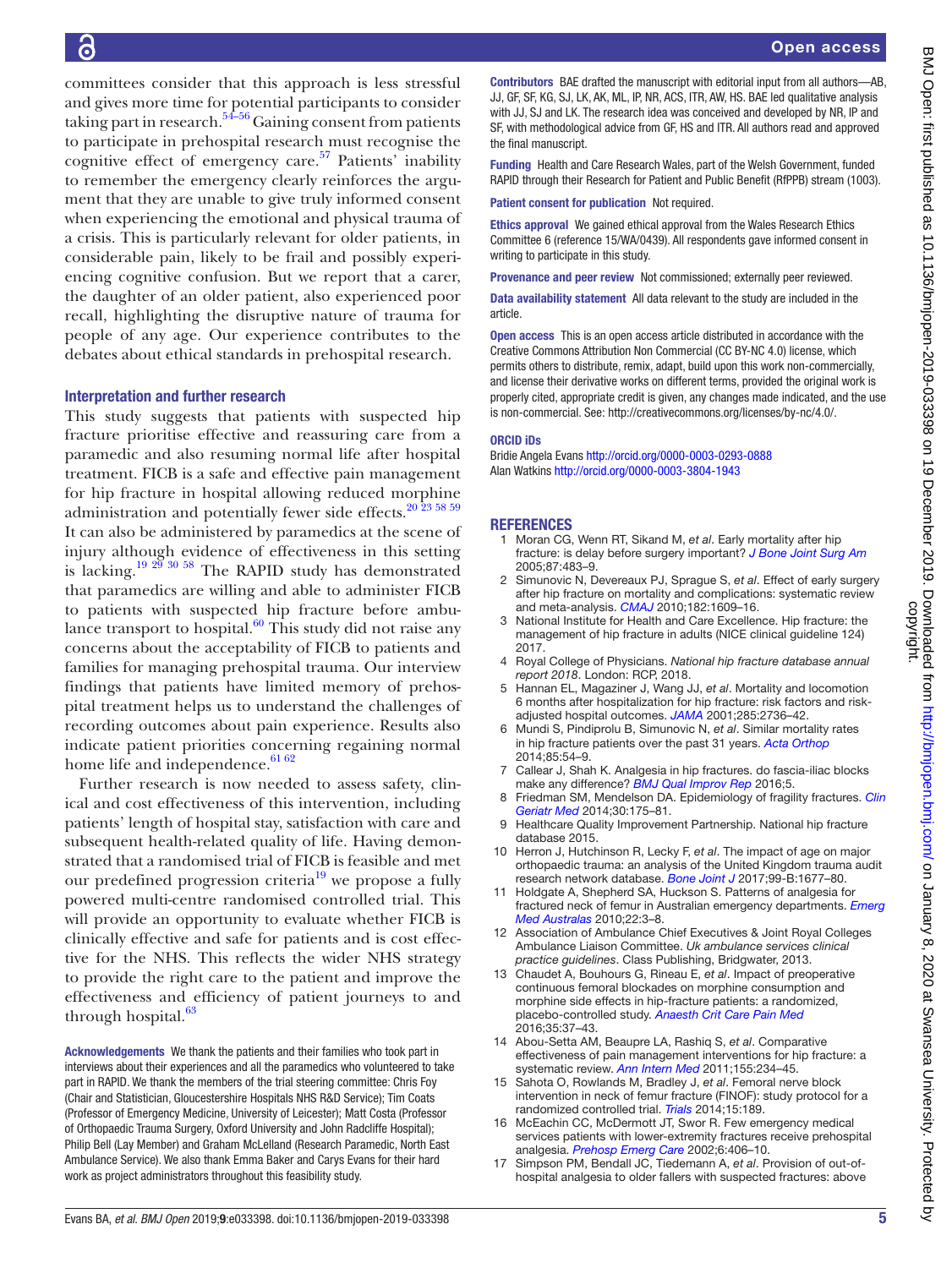committees consider that this approach is less stressful and gives more time for potential participants to consider taking part in research.<sup>54–56</sup> Gaining consent from patients to participate in prehospital research must recognise the cognitive effect of emergency care.<sup>57</sup> Patients' inability to remember the emergency clearly reinforces the argument that they are unable to give truly informed consent when experiencing the emotional and physical trauma of a crisis. This is particularly relevant for older patients, in considerable pain, likely to be frail and possibly experiencing cognitive confusion. But we report that a carer, the daughter of an older patient, also experienced poor recall, highlighting the disruptive nature of trauma for people of any age. Our experience contributes to the debates about ethical standards in prehospital research.

#### Interpretation and further research

6

This study suggests that patients with suspected hip fracture prioritise effective and reassuring care from a paramedic and also resuming normal life after hospital treatment. FICB is a safe and effective pain management for hip fracture in hospital allowing reduced morphine administration and potentially fewer side effects.<sup>[20 23 58 59](#page-5-22)</sup> It can also be administered by paramedics at the scene of injury although evidence of effectiveness in this setting is lacking.<sup>[19 29 30 58](#page-5-5)</sup> The RAPID study has demonstrated that paramedics are willing and able to administer FICB to patients with suspected hip fracture before ambulance transport to hospital. $60$  This study did not raise any concerns about the acceptability of FICB to patients and families for managing prehospital trauma. Our interview findings that patients have limited memory of prehospital treatment helps us to understand the challenges of recording outcomes about pain experience. Results also indicate patient priorities concerning regaining normal home life and independence.<sup>[61 62](#page-5-24)</sup>

Further research is now needed to assess safety, clinical and cost effectiveness of this intervention, including patients' length of hospital stay, satisfaction with care and subsequent health-related quality of life. Having demonstrated that a randomised trial of FICB is feasible and met our predefined progression criteria<sup>19</sup> we propose a fully powered multi-centre randomised controlled trial. This will provide an opportunity to evaluate whether FICB is clinically effective and safe for patients and is cost effective for the NHS. This reflects the wider NHS strategy to provide the right care to the patient and improve the effectiveness and efficiency of patient journeys to and through hospital. $63$ 

Acknowledgements We thank the patients and their families who took part in interviews about their experiences and all the paramedics who volunteered to take part in RAPID. We thank the members of the trial steering committee: Chris Foy (Chair and Statistician, Gloucestershire Hospitals NHS R&D Service); Tim Coats (Professor of Emergency Medicine, University of Leicester); Matt Costa (Professor of Orthopaedic Trauma Surgery, Oxford University and John Radcliffe Hospital); Philip Bell (Lay Member) and Graham McLelland (Research Paramedic, North East Ambulance Service). We also thank Emma Baker and Carys Evans for their hard work as project administrators throughout this feasibility study.

Contributors BAE drafted the manuscript with editorial input from all authors—AB, JJ, GF, SF, KG, SJ, LK, AK, ML, IP, NR, ACS, ITR, AW, HS. BAE led qualitative analysis with JJ, SJ and LK. The research idea was conceived and developed by NR, IP and SF, with methodological advice from GF, HS and ITR. All authors read and approved the final manuscript.

Funding Health and Care Research Wales, part of the Welsh Government, funded RAPID through their Research for Patient and Public Benefit (RfPPB) stream (1003).

Patient consent for publication Not required.

Ethics approval We gained ethical approval from the Wales Research Ethics Committee 6 (reference 15/WA/0439). All respondents gave informed consent in writing to participate in this study.

Provenance and peer review Not commissioned; externally peer reviewed.

Data availability statement All data relevant to the study are included in the article.

Open access This is an open access article distributed in accordance with the Creative Commons Attribution Non Commercial (CC BY-NC 4.0) license, which permits others to distribute, remix, adapt, build upon this work non-commercially, and license their derivative works on different terms, provided the original work is properly cited, appropriate credit is given, any changes made indicated, and the use is non-commercial. See: [http://creativecommons.org/licenses/by-nc/4.0/.](http://creativecommons.org/licenses/by-nc/4.0/)

#### ORCID iDs

Bridie Angela Evans <http://orcid.org/0000-0003-0293-0888> Alan Watkins<http://orcid.org/0000-0003-3804-1943>

#### <span id="page-4-0"></span>**REFERENCES**

- 1 Moran CG, Wenn RT, Sikand M, *et al*. Early mortality after hip fracture: is delay before surgery important? *[J Bone Joint Surg Am](http://dx.doi.org/10.2106/JBJS.D.01796)* 2005;87:483–9.
- Simunovic N, Devereaux PJ, Sprague S, et al. Effect of early surgery after hip fracture on mortality and complications: systematic review and meta-analysis. *[CMAJ](http://dx.doi.org/10.1503/cmaj.092220)* 2010;182:1609–16.
- National Institute for Health and Care Excellence. Hip fracture: the management of hip fracture in adults (NICE clinical guideline 124) 2017.
- <span id="page-4-1"></span>4 Royal College of Physicians. *National hip fracture database annual report 2018*. London: RCP, 2018.
- 5 Hannan EL, Magaziner J, Wang JJ, *et al*. Mortality and locomotion 6 months after hospitalization for hip fracture: risk factors and riskadjusted hospital outcomes. *[JAMA](http://dx.doi.org/10.1001/jama.285.21.2736)* 2001;285:2736–42.
- 6 Mundi S, Pindiprolu B, Simunovic N, *et al*. Similar mortality rates in hip fracture patients over the past 31 years. *[Acta Orthop](http://dx.doi.org/10.3109/17453674.2013.878831)* 2014;85:54–9.
- <span id="page-4-2"></span>7 Callear J, Shah K. Analgesia in hip fractures. do fascia-iliac blocks make any difference? *[BMJ Qual Improv Rep](http://dx.doi.org/10.1136/bmjquality.u210130.w4147)* 2016;5.
- <span id="page-4-3"></span>8 Friedman SM, Mendelson DA. Epidemiology of fragility fractures. *[Clin](http://dx.doi.org/10.1016/j.cger.2014.01.001)  [Geriatr Med](http://dx.doi.org/10.1016/j.cger.2014.01.001)* 2014;30:175–81.
- Healthcare Quality Improvement Partnership. National hip fracture database 2015.
- <span id="page-4-4"></span>10 Herron J, Hutchinson R, Lecky F, *et al*. The impact of age on major orthopaedic trauma: an analysis of the United Kingdom trauma audit research network database. *[Bone Joint J](http://dx.doi.org/10.1302/0301-620X.99B12.BJJ-2016-1140.R2)* 2017;99-B:1677–80.
- <span id="page-4-5"></span>11 Holdgate A, Shepherd SA, Huckson S. Patterns of analgesia for fractured neck of femur in Australian emergency departments. *[Emerg](http://dx.doi.org/10.1111/j.1742-6723.2009.01246.x)  [Med Australas](http://dx.doi.org/10.1111/j.1742-6723.2009.01246.x)* 2010;22:3–8.
- 12 Association of Ambulance Chief Executives & Joint Royal Colleges Ambulance Liaison Committee. *Uk ambulance services clinical practice guidelines*. Class Publishing, Bridgwater, 2013.
- <span id="page-4-6"></span>13 Chaudet A, Bouhours G, Rineau E, *et al*. Impact of preoperative continuous femoral blockades on morphine consumption and morphine side effects in hip-fracture patients: a randomized, placebo-controlled study. *[Anaesth Crit Care Pain Med](http://dx.doi.org/10.1016/j.accpm.2015.07.004)* 2016;35:37–43.
- <span id="page-4-7"></span>14 Abou-Setta AM, Beaupre LA, Rashiq S, *et al*. Comparative effectiveness of pain management interventions for hip fracture: a systematic review. *[Ann Intern Med](http://dx.doi.org/10.7326/0003-4819-155-4-201108160-00346)* 2011;155:234–45.
- 15 Sahota O, Rowlands M, Bradley J, *et al*. Femoral nerve block intervention in neck of femur fracture (FINOF): study protocol for a randomized controlled trial. *[Trials](http://dx.doi.org/10.1186/1745-6215-15-189)* 2014;15:189.
- 16 McEachin CC, McDermott JT, Swor R. Few emergency medical services patients with lower-extremity fractures receive prehospital analgesia. *[Prehosp Emerg Care](http://dx.doi.org/10.1080/10903120290938030)* 2002;6:406–10.
- <span id="page-4-8"></span>17 Simpson PM, Bendall JC, Tiedemann A, *et al*. Provision of out-ofhospital analgesia to older fallers with suspected fractures: above